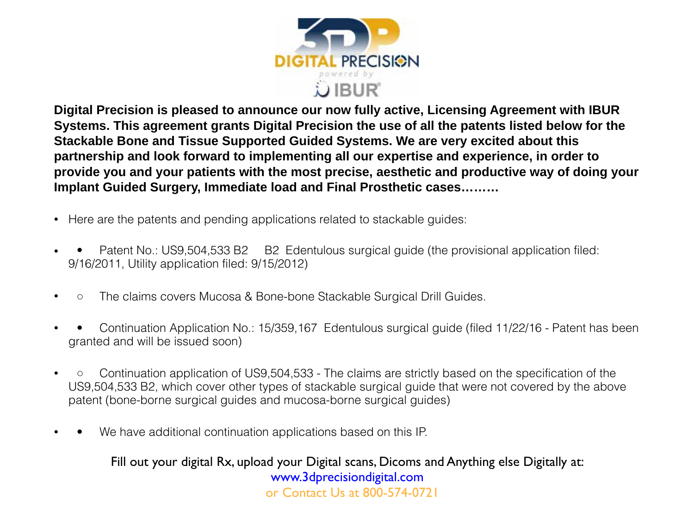

**Digital Precision is pleased to announce our now fully active, Licensing Agreement with IBUR Systems. This agreement grants Digital Precision the use of all the patents listed below for the Stackable Bone and Tissue Supported Guided Systems. We are very excited about this partnership and look forward to implementing all our expertise and experience, in order to provide you and your patients with the most precise, aesthetic and productive way of doing your Implant Guided Surgery, Immediate load and Final Prosthetic cases………**

- Here are the patents and pending applications related to stackable guides:
- • Patent No.: US9,504,533 B2 B2 Edentulous surgical guide (the provisional application filed: 9/16/2011, Utility application filed: 9/15/2012)
- ◦ The claims covers Mucosa & Bone-bone Stackable Surgical Drill Guides.
- • Continuation Application No.: 15/359,167 Edentulous surgical guide (filed 11/22/16 Patent has been granted and will be issued soon)
- ◦ Continuation application of US9,504,533 The claims are strictly based on the specification of the US9,504,533 B2, which cover other types of stackable surgical guide that were not covered by the above patent (bone-borne surgical guides and mucosa-borne surgical guides)
- We have additional continuation applications based on this IP.

Fill out your digital Rx, upload your Digital scans, Dicoms and Anything else Digitally at: [www.3dprecisiondigital.com](http://www.3dprecisiondigital.com) or Contact Us at 800-574-0721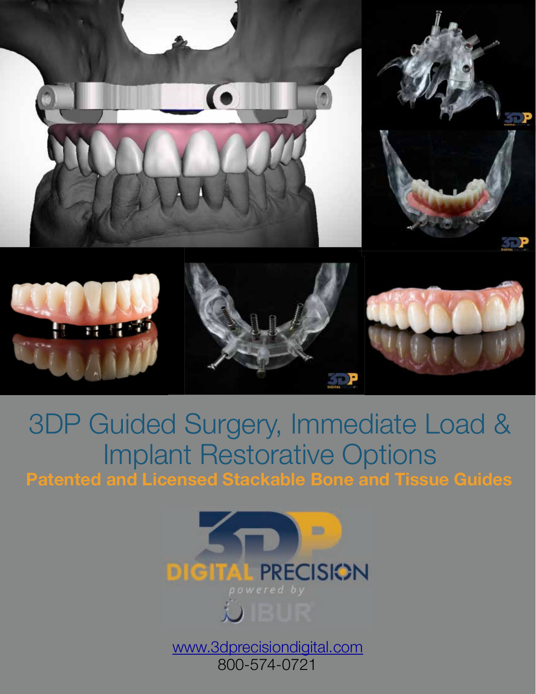

# 3DP Guided Surgery, Immediate Load & Implant Restorative Options **Patented and Licensed Stackable Bone and Tissue Guides**



[www.3dprecisiondigital.com](http://www.3dprecisiondigital.com) 800-574-0721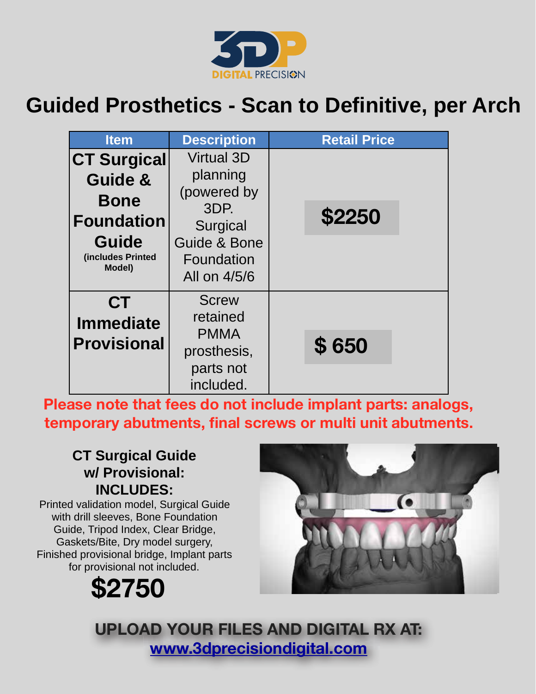

## **Guided Prosthetics - Scan to Definitive, per Arch**

| <b>Item</b>                                                                                               | <b>Description</b>                                                                                             | <b>Retail Price</b> |
|-----------------------------------------------------------------------------------------------------------|----------------------------------------------------------------------------------------------------------------|---------------------|
| <b>CT Surgical</b><br>Guide &<br><b>Bone</b><br><b>Foundation</b><br>Guide<br>(includes Printed<br>Model) | <b>Virtual 3D</b><br>planning<br>(powered by<br>3DP.<br>Surgical<br>Guide & Bone<br>Foundation<br>All on 4/5/6 | <b>\$2250</b>       |
| <b>CT</b><br><b>Immediate</b><br><b>Provisional</b>                                                       | <b>Screw</b><br>retained<br><b>PMMA</b><br>prosthesis,<br>parts not<br>included.                               | \$650               |

**Please note that fees do not include implant parts: analogs, temporary abutments, final screws or multi unit abutments.**

## **CT Surgical Guide w/ Provisional: INCLUDES:**

Printed validation model, Surgical Guide with drill sleeves, Bone Foundation Guide, Tripod Index, Clear Bridge, Gaskets/Bite, Dry model surgery, Finished provisional bridge, Implant parts for provisional not included.

**\$2750**



**UPLOAD YOUR FILES AND DIGITAL RX AT: www.3dprecisiondigital.com**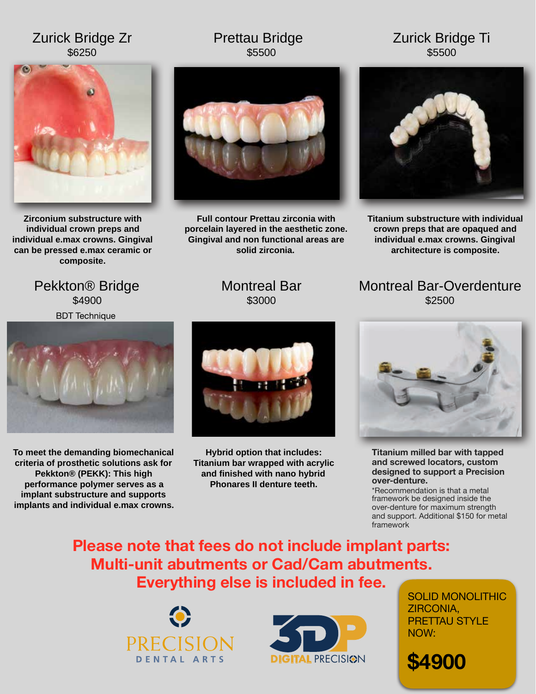## Zurick Bridge Zr \$6250

### Prettau Bridge \$5500

## Zurick Bridge Ti \$5500



**Zirconium substructure with individual crown preps and individual e.max crowns. Gingival can be pressed e.max ceramic or composite.**



**Full contour Prettau zirconia with porcelain layered in the aesthetic zone. Gingival and non functional areas are solid zirconia.** 



**Titanium substructure with individual crown preps that are opaqued and individual e.max crowns. Gingival architecture is composite.**

Pekkton® Bridge \$4900 BDT Technique



**To meet the demanding biomechanical criteria of prosthetic solutions ask for Pekkton® (PEKK): This high performance polymer serves as a implant substructure and supports implants and individual e.max crowns.**

## Montreal Bar \$3000



**Hybrid option that includes: Titanium bar wrapped with acrylic and finished with nano hybrid Phonares II denture teeth.** 

Montreal Bar-Overdenture \$2500



**Titanium milled bar with tapped and screwed locators, custom designed to support a Precision over-denture.** 

\*Recommendation is that a metal framework be designed inside the over-denture for maximum strength and support. Additional \$150 for metal framework

**Please note that fees do not include implant parts: Multi-unit abutments or Cad/Cam abutments. Everything else is included in fee.** 





SOLID MONOLITHIC ZIRCONIA, PRETTAU STYLE NOW:

**\$4900**